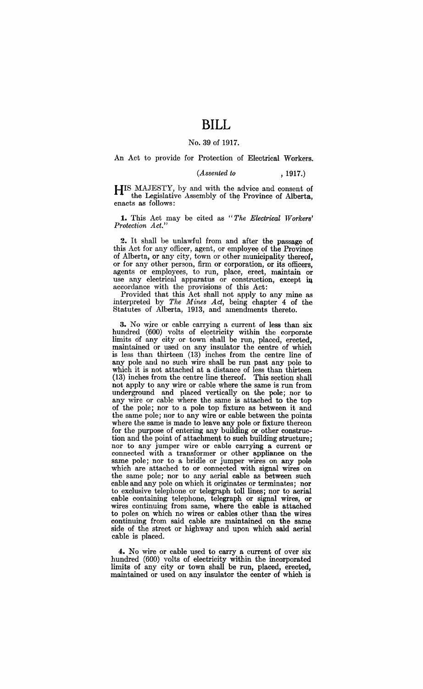## **BILL**

## No. 39 of 1917.

An Act to provide for Protection of Electrieal Workers.

*(Assented to* , 1917.)

HIS MAJESTY, by and with the advice and consent of the Legislative Assembly of the Province of Alberta, enacts as follows: .

1. This Act may be cited as "The Electrical Workers' *Protection Act."* 

2. It shall be unlawful from and after the passage of this Act for any officer, agent, or employee of the Province of Alberta, or any city, town or other municipality thereof, or for any other person, firm or corporation, or its officers, agents or employees, to run, place, erect, maintain or use any electrical apparatus or construction, except in accordance with the provisions of this Act:

Provided that this Act shall not apply to any mine as interpreted by *The Mines Act,* being chapter 4 of the Statutes of Alberta, 1913, and amendments thereto.

3. No wjre or cable carrying a current of less than six hundred (600) volts of electricity within the corporate limits of any city or town' shall be run, placed, erected, maintained or used on any insulator the centre of which is less than thirteen (13) inches from the centre line of any pole and no such wire shall be run past any pole to which it is not attached at a distance of less than thirteen (13) inches from the centre line thereof. This section shall not apply to any wire or cable where the same is run from underground and placed vertically on the pole; nor to any wire or cable where the same is attached to the top of the pole; nor to a pole top fixture as between it and the same pole; nor to any wire or cable between the points where the same is made to leave any pole or fixture thereon for the purpose of entering any building or other construction and the point of attachment to such building structure; nor to any jumper wire or cable carrying a current or connected with a transformer or other appliance on the same pole; nor to a bridle or jumper wires on any pole which are attached to or connected with signal wires on the same pole; nor to any aerial cable as between such cable and any pole on which it originates or terminates; nor to exclusive telephone or telegraph toll lines; nor to aerial cable containing telephone, telegraph or signal wires, or wires continuing from same, where the cable is attached to poles on which no wires or cables other than the wires continuing from said cable are maintained on the same side of the street or highway and upon which said aerial cable is placed.

4. No wire or cable used to carry a current of over six hundred (600) volts of electricity within the incorporated limits of any city or town shall be run, placed, erected, maintained or used on any insulator the center of which is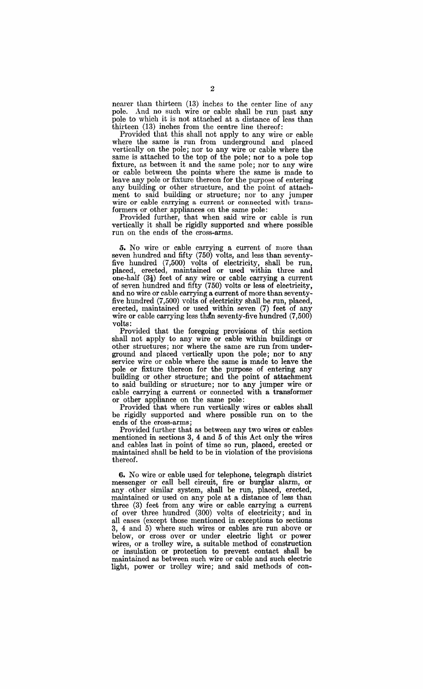nearer than thirteen (13) inches to the center line of any pole. And no such wire or cable shall be run past any pole to which it is not attached at a distance of less than thirteen (13) inches from the centre line thereof:

Provided that this shall not apply to any wire or cable where the same is run from underground and placed vertically on the pole; nor to any wire or cable where the same is attached to the top of the pole; nor to a pole top fixture, as between it and the same pole; nor to any wire or cable between the points where the same is made to leave any pole or fixture thereon for the purpose of entering any building or other structure, and the point of attachment to said building or structure; nor to any jumper wire or cable carrying a current or connected with transformers or other appliances on the same pole:

Provided further, that when said wire or cable is run vertically it shall be rigidly supported and where possible run on the ends of the cross-arms.

**o.** No wire or cable carrying a current of more than seven hundred and fifty (750) volts, and less than seventyfive hundred (7,500) volts of electricity, shall be run, placed, erected, maintained or used within three and one-half  $(3\frac{1}{2})$  feet of any wire or cable carrying a current of seven hundred and fifty (750) volts or less of electricity, and no wire or cable carrying a current of more than seventyfive hundred (7,500) volts of electricity shall be run, placed, erected, maintained or used within seven (7) feet of any wire or cable carrying less thdn seventy-five hundred (7,500) volts:

Provided that the foregoing provisions of this section shall not apply to any wire or cable within buildings or other structures; nor where the same are run from underground and placed vertically upon the pole; nor to any service wire or cable where the same is made to leave the pole or fixture thereon for the purpose of entering any building or other structure; and the point of attachment to said building or structure; nor to any jumper wire or cable carrying a current or connected with a transformer or other appliance on the same pole:

Provided that where run vertically wires or cables shall be rigidly supported and where possible run on to the ends of the cross-arms;

Provided further that as between any two wires or cables mentioned in sections 3, 4 and 5 of this Act only the wires and cables last in point of time so run, placed, erected or maintained shall be held to be in violation of the provisions thereof.

**6.** No wire or cable used for telephone, telegraph district messenger or call bell circuit, fire or burglar alarm, or any. other similar system, shall be run, placed, erected, maintained or used on any pole at a distance of less than three (3) feet from any wire or cable carrying a current of over three hundred (300) volts of electricity; and in all cases (except those mentioned in exceptions to sections 3, 4 and 5) where such wires or cables are run above or below, or cross over or under electric light or power wires, or a trolley wire, a suitable method of construction or insulation or protection to prevent contact shall be maintained as between such wire or cable and such electric light, power or trolley wire; and said methods of con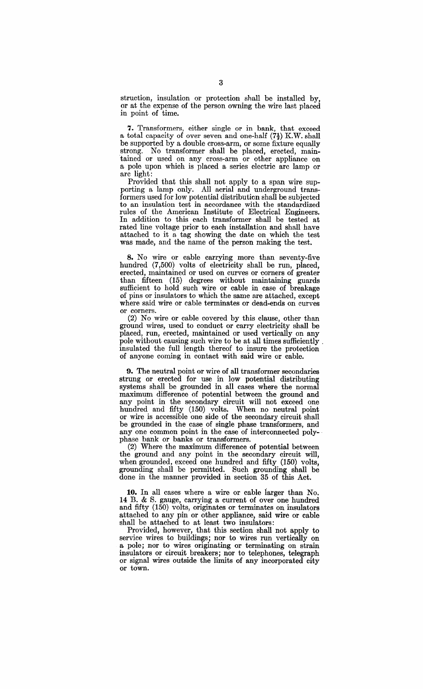struction, insulation or protection shall be installed by, or at the expense of the person owning the wire last placed in point of time.

7. Transformers, either single or in bank, that exceed a total capacity of over seven and one-half  $(7\frac{1}{2})$  K.W. shall be supported by a double cross-arm, or some fixture equally strong. No transformer shall be placed, erected, maintained or used on any cross-arm or other appliance on a pole upon which is placed a series electric arc lamp or arc light:

Provided that this shall not apply to a span wire supporting a lamp only. All aerial and underground transformers used for low potential distribution shall be subjected to an insulation test in accordance with the standardized rules of the American Institute of Electrical Engineers. In addition to this each transformer shall be tested at rated line voltage prior to each installation and shall have attached to it a tag showing the date on which the test was made, and the name of the person making the test.

**8.** No wire or cable carrying more than seventy-five hundred (7,500) volts of electricity shall be run, placed, erected, maintained or used on curves or corners of greater than fifteen (15) degrees without maintaining guards sufficient to hold such wire or cable in case of breakage of pins or insulators to which the same are attached, except where said wire or cable terminates or dead-ends on curves or corners.

(2) No wire or cable covered by this clause, other than ground wires, used to conduct or carry electricity shall be placed, run, erected, maintained or used vertically on any pole without causing such wire to be at all times sufficiently. insulated the full length thereof to insure the protection of anyone coming in contact with said wire or cable.

**9.** The neutral point or wire of all transformer secondaries strung or erected for use in low potential distributing systems shall be grounded in all cases where the normal maximum difference of potential between the ground and any point in the secondary circuit will not exceed one hundred and fifty (150) volts. When no neutral point or wire is accessible one side of the secondary circuit shall be grounded in the case of single phase transformers, and any one common point in the case of interconnected poly-<br>phase bank or banks or transformers.

(2) Where the maximum difference of potential between the ground and any point in the secondary circuit will, when grounded, exceed one hundred and fifty (150) volts, grounding shall be permitted. Such grounding shall be done in the manner provided in section 35 of' this Act.

**10.** In all cases where a wire or cable iarger than No. 14 B. & S. gauge, carrying a current of over one hundred and fifty (150) volts, originates or terminates on insulators attached to any pin or other appliance, said wire or cable shall be attached to at least two insulators:

Provided, however, that this section shall not apply to service wires to buildings; nor to wires run vertically on a pole; nor to wires originating or terminating on strain insulators or circuit breakers; nor to telephones, telegraph or signal wires outside the limits of any incorporated city or town.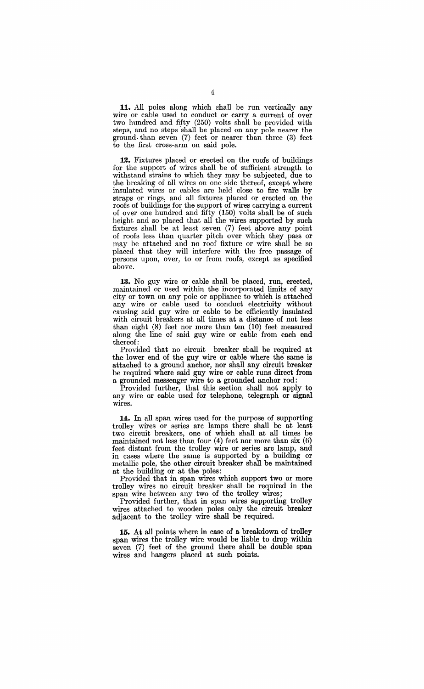11. All poles along which shall be run vertically any wire or cable used to conduct or carry a current of over two hundred and fifty (250) volts shall be provided with steps, and no steps 'shall be placed on any pole nearer the ground. than seven (7) feet or nearer than three (3) feet to the first cross-arm on said pole.

**12.** Fixtures placed or erected on the roofs of buildings for the support of wires shall be of sufficient strength to withstand strains to which they may be subjected, due to the breaking of all wires on one side thereof, except where insulated wires or cables are held close to fire walls by straps or rings, and all fixtures placed or erected on the roofs of buildings for the support of wires carrying a current of over one hundred and fifty (150) volts shall be of such height and so placed that all the wires supported by such fixtures shall be at least seven (7) feet above any point of roofs less than quarter pitch over which they pass or may be attached and no roof fixture or wire shall be so placed that they will interfere with the free passage of persons upon, over, to or from roofs, except as specified above.

**13.** No guy wire or cable shall be placed, run, erected, maintained or used within the incorporated limits of any city or town on any pole or appliance to which is attached any wire or cable used to conduct electricity without causing said guy wire or cable to be efficiently insulated with circuit breakers at all times at a distance of not less than eight (8) feet nor more than ten (10) feet measured along the line of said guy wire or cable from each end thereof:

Provided that no circuit breaker shall be required at the lower end of the guy wire or cable where the same is attached to a ground anchor, nor shall any circuit breaker be required where said guy wire or cable runs direct from a grounded messenger wire to a grounded anchor rod:

Provided further, that this section shall not apply to any wire or cable used for telephone, telegraph or signal WIres.

**14.** In all span wires used for the purpose of supporting trolley wires or series arc lamps there shall be at least two circuit breakers, one of which shall at all times be maintained not less than four (4) feet nor more than six (6) feet distant from the trolley wire or series arc lamp, and in cases where the same is supported by a building or metallic pole, the other circuit breaker shall be maintained at the building or at the poles:

Provided that in span wires which support two or more trolley wires no circuit breaker shall be required in the span wire between any two of the trolley wires;

Provided further, that in span wires supporting trolley wires attached to wooden poles only the circuit breaker adjacent to the trolley wire shall be required.

**15.** At all points where in case of a breakdown of trolley span wires the trolley wire would be liable to drop within seven (7) feet of the ground there shall be double span wires and hangers placed at such points.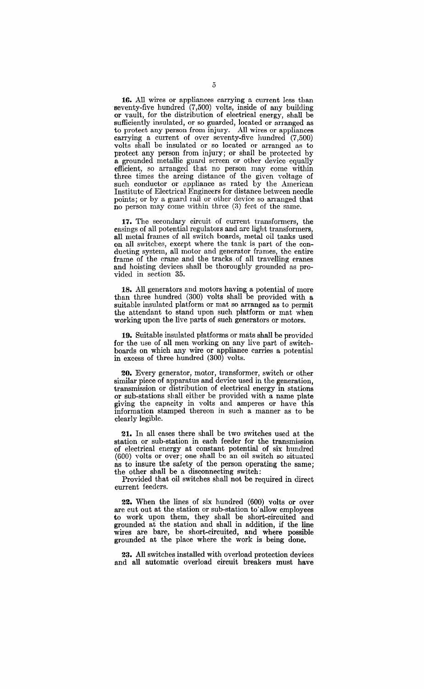16. All wires or appliances carrying a current less than seventy-five hundred (7,500) volts, inside of any building or vault, for the distribution of electrical energy, shall be sufficiently insulated, or so guarded, located or arranged as to protect any person from injury. All wires or appliances carrying a current of over seventy-five hundred (7,500) volts shall be insulated or so located or arranged as to protect any person from injury; or shall be protected by a grounded metallic guard screen or other device· equally efficient, so arranged that no person may come within three times the arcing distance of the given voltage of such conductor or appliance as rated by the American Institute of Electrical Engineers for distance between needle points; or by a guard rail or other device so arranged that no person may come within three (3) feet of the same.

17. The secondary circuit of current transformers, the casings of all potential regulators and arc light transformers, all metal frames of all switch boards, metal oil tanks used on all switches, except where the tank is part of the conducting system, all motor and generator frames, the entire frame of the crane and the tracks,of all travelling cranes and hoisting devices shall be thoroughly grounded as provided in section 35.

18. All generators and motors having a potential of more than three hundred (300) volts shall be provided with a suitable insulated platform or mat so arranged as to permit the attendant to stand upon such platform or mat when working upon the live parts of such generators or motors.

19. Suitable insulated platforms or mats shall be provided for the use of all men working on any live part of switchboards on which any wire or appliance carries a potential in excess of three hundred (300) volts.

20. Every generator, mutor, transformer, switch or other similar piece of apparatus and device used in the generation. transmission or distribution of electrical energy in stations or sub-stations shall either be provided with a name plate giving the capacity in volts and amperes or have this information stamped thereon in such a manner as to be clearly legible.

21. In all cases there shall be two switches used at the station or sub-station in each feeder for the transmission of electrical energy at constant potential of six hundred (600) volts or over; one shall be an oil switch so situated as to insure the safety of the person operating the same; the other shall be a disconnecting switch:

Provided that oil switches shall not be required in direct current feeders.

22. When the lines of six hundred (600) volts or over are cut out at the station or sub-station to'allow employees to work upon them, they shall be short-circuited and grounded at the station and shall in addition, if the line wires are bare, be short-circuited, and where possible grounded at the place where the work is being done.

23. All switches installed with overload protection devices and all automatic overload circuit breakers must have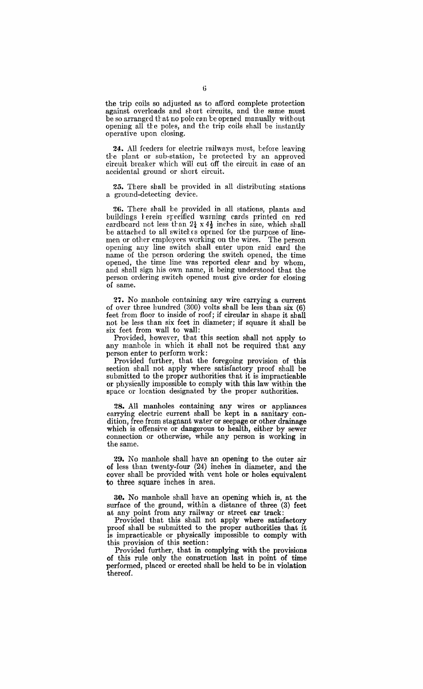the trip coils so adjusted as to afford complete protection against overloads and short circuits, and the same must be so arranged that no pole can be opened manually without opening all the poles, and the trip coils shall be instantly operative upon closing.

24. All feeders for electric railways must, before leaving the plant or sub-station, he protected by an approved circuit breaker which will cut off the circuit in case of an accidental ground or short circuit.

25. There shall be provided in all distributing stations a ground-detecting device.

26. There shall be provided in all stations, plants and buildings herein specified warning cards printed on red cardboard not less than  $2\frac{1}{4} \times 4\frac{1}{2}$  inches in size, which shall be attached to all switches opened for the purpose of linemen or other employees working on the wires. The person opening any line switch shall enter upon said card the name of the person ordering the switch opened, the time opened, the time line was reported clear and by whom, and shall sign his own name, it being understood that the person ordering switch opened must give order for closing of same.

27. No manhole containing any wire carrying a current of over three hundred (300) volts shall be less than six (6) feet from floor to inside of roof; if circular in shape it shall not be less than six feet in diameter; if square it shall be six feet from wall to wall:

Provided, however, that this section shall not apply to any manhole in which it shall not be required that any person enter to perform work:

Provided further, that the foregoing provision of this section shall not apply where satisfactory proof shall be submitted to the proper authorities that it is impracticable or physical1y impossible to comply with this law within the space or location designated by the proper authorities.

28. All manholes containing any wires or appliances carrying electric current. shall be kept in a sanitary condition, free from stagnant water or seepage or other drainage which is offensive or dangerous to health, either by sewer connection or otherwise, while any person is working in the same.

29. No manhole shall have an opening to the outer air of less than twenty-four (24) inches in diameter, and the cover shall be provided with vent hole or holes equivalent to three square inches in area.

30. No manhole shall have an opening which is, at the surface of the ground, within a distance of three (3) feet at any point from any railway or street car track:

Provided that this shall not apply where satisfactory proof shall be submitted to the proper authorities that it is impracticable or physically impossible to comply with this provision of this section:

Provided further, that in complying with the provisions of this rule only the construction last in point of time performed, placed or erected shall be held to be in violation thereof.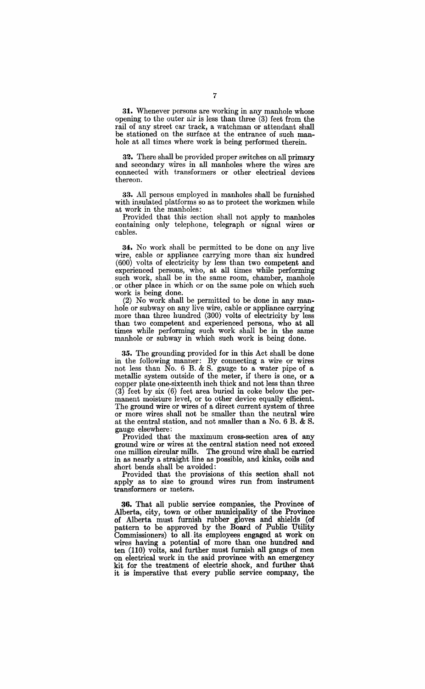31. Whenever persons are working in any manhole whose opening to the outer air is less than three (3) feet from the rail of any street car track, a watchman or attendant shall be stationed on the surface at the entrance of such manhole at all times where work is being performed therein.

32. There shall be provided proper switches on all primary and secondary wires in all manholes where the wires are connected with transformers or other electrical devices thereon.

33. All persons employed in manholes shall be furnished with insulated platforms so as to protect the workmen while at work in the manholes:

Provided that this section shall not apply to manholes containing only telephone, telegraph or signal wires or cables.

34:. No work shall be permitted to be done on any live wire, cable or appliance carrying more than six hundred (600) volts of electricity by less than two competent and experienced persons, who, at all times while performing such work, shall be in the same room, chamber, manhole . or other place in which or on the same pole on which such work is being done.

(2) No work shall be permitted to be done in any manhole or subway on any live wire, cable or appliance carrying more than three hundred (300) volts of electricity by less than two competent and experienced persons, who at all times while performing such work shall be in the same manhole or subway in which such work is being done.

35. The grounding provided for in this Act shall be done in the following manner: By connecting a wire or wires not less than No.6 B. & S. gauge to a water pipe of a metallic system outside of the meter, if there is one, or a copper plate one-sixteenth inch thick and not less than three (3) feet by six (6) feet area buried in coke below the permanent moisture level, or to other device equally efficient. The ground wire or wires of a direct current system of three or more wires shall not be smaller than the neutral wire at the central station, and not smaller than a No.6 B. & S. gauge elsewhere:

Provided that the maximum cross-section area of any ground wire or wires at the central station need not exceed one million circular mills. The ground wire shall be carried in as nearly a straight line as possible, and kinks, coils and short bends shall be avoided:

Provided that the provisions of this section shall not apply as to size to ground wires run from instrument transformers or meters.

36. That all public service companies, the Province of Alberta, city, town or other municipality of the Province of Alberta must furnish rubber gloves and shields (of pattern to be approved by the Board of Public Utility Commissioners) to all, its employees engaged at work on wires having a potential of more than one hundred and ten  $(110)$  volts, and further must furnish all gangs of men on electrical work in the said province with an emergency kit for the treatment of electric shock, and further that it is imperative that every public service company, the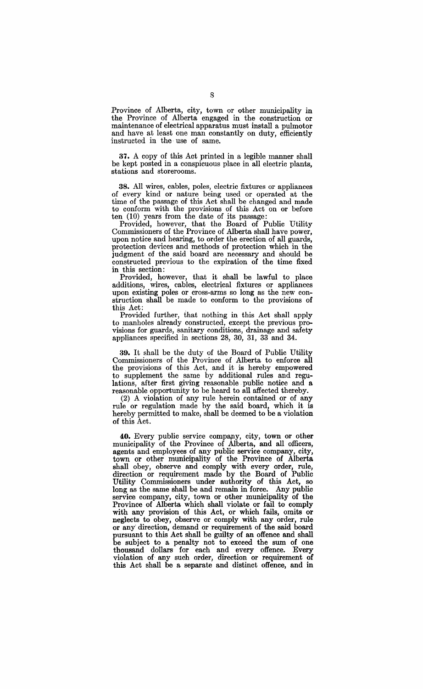Province of Alberta, city, town or other municipality in the Province of Alberta engaged in the construction or maintenance of electrical apparatus must install a pulmotor and have at least one man constantly on duty, efficiently instructed in the· use of same.

37. A copy of this Act printed in a legible manner shall be kept posted in a conspicuous place in all electric plants, stations and storerooms.

38. All wires, cables, poles, electric fixtures or appliances of every kind or nature being used or operated at the time of the passage of this Act shall be changed and made to conform with the provisions of this Act on or before ten (10) years from the date of its passage:

Provided, however, that the Board of Public Utility Commissioners of the Province of Alberta shall have power, upon notice and hearing, to order the erection of all guards, protection devices and methods of protection which in the judgment of the said board are necessary and should be constructed previous to the expiration of the time fixed in this section:

Provided, however, that it shall be lawful to place additions, wires, cables, electrical fixtures or appliances upon existing poles or cross-arms so long as the new construction shall be made to conform to the provisions of this Act:

Provided further, that nothing in this Act shall apply to manholes already constructed, except the previous provisions for guards, sanitary conditions, drainage and safety appliances specified in sections 28, 30, 31, 33 and 34:.

39. It shall be the duty of the Board of Public Utility Commissioners of the Province of Alberta to enforee all the provisions of this Act, and it is hereby empowered to supplement the same by additional rules and regulations, after first giving reasonable public notice and a reasonable opportunity to be heard to all affected thereby.

(2) A violation of any rule herein contained or of any rule or regulation made by the said board, which it is hereby permitted to make, shall be deemed to be a violation of this Act.

**40.** Every public service compapy, city, town or other municipality of the Province of Alberta, and all officers, agents and employees of any public service company, city, town or other municipality of the Province of Alberta shall obey, observe and comply with every order, rule, direction or requirement made by the Board of Public Utility Commissioners under authority of this Act, so long as the same shall be and remain in force. Any public service company, city, town or other municipality of the Province of Alberta which shall violate or fail to comply with any provision of this Act, or which fails, omits or neglects to obey, observe or comply with any order, rule or any' direction, demand or requirement of the said board pursuant to this Act shall be guilty of an offence and shall be subject to a penalty not to' exceed the sum of one thousand dollars for each and every offence. Every violation of any such order, direction or requirement of this Act shall be a separate and distinct offence, and in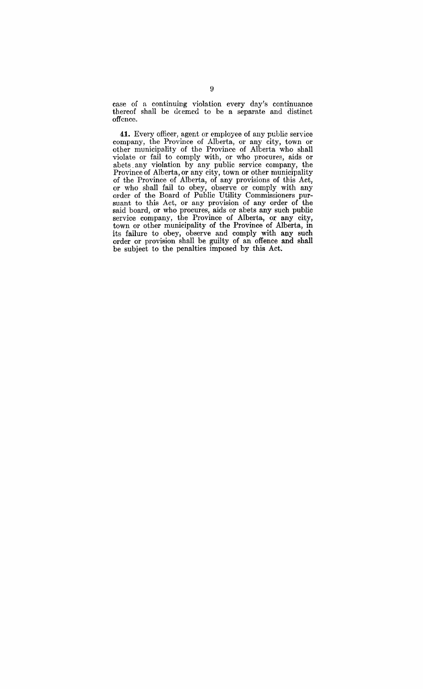case of a continuing violation every day's continuance thereof shall be deemed to be a separate and distinct offence.

**41.** Every officer, agent or employee of any puhlie service company, the Province of Alberta, or any city, town or other municipality of the Province of Alberta who shall violate or fail to comply with, or who procures, aids or abets any violation by any public service company, the Province of Alberta, or any city, town or other municipality of the Province of Alberta, of any provisions of this Act, or who shall fail to obey, observe or comply with any order of the Board of Public Utility Commissioners pursuant to this Act, or any provision of any order of the said board, or who procures, aids or abets any such public service company, the Province of Alberta, or any city, town or other municipality of the Province of Alberta, **in**  its failure to obey, observe and comply with any such order or provision shaH be. guilty of an offence and shall be subject to the penalties imposed by this Act: